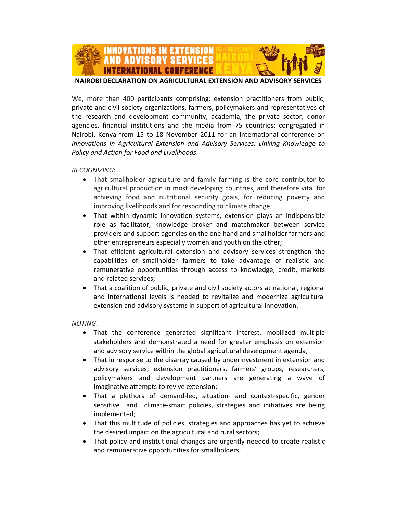

**NAIROBI DECLARATION ON AGRICULTURAL EXTENSION AND ADVISORY SERVICES**

We, more than 400 participants comprising: extension practitioners from public, private and civil society organizations, farmers, policymakers and representatives of the research and development community, academia, the private sector, donor agencies, financial institutions and the media from 75 countries; congregated in Nairobi, Kenya from 15 to 18 November 2011 for an international conference on *Innovations in Agricultural Extension and Advisory Services: Linking Knowledge to Policy and Action for Food and Livelihoods*.

#### *RECOGNIZING*:

- That smallholder agriculture and family farming is the core contributor to agricultural production in most developing countries, and therefore vital for achieving food and nutritional security goals, for reducing poverty and improving livelihoods and for responding to climate change;
- That within dynamic innovation systems, extension plays an indispensible role as facilitator, knowledge broker and matchmaker between service providers and support agencies on the one hand and smallholder farmers and other entrepreneurs especially women and youth on the other;
- That efficient agricultural extension and advisory services strengthen the capabilities of smallholder farmers to take advantage of realistic and remunerative opportunities through access to knowledge, credit, markets and related services;
- That a coalition of public, private and civil society actors at national, regional and international levels is needed to revitalize and modernize agricultural extension and advisory systems in support of agricultural innovation.

#### *NOTING*:

- That the conference generated significant interest, mobilized multiple stakeholders and demonstrated a need for greater emphasis on extension and advisory service within the global agricultural development agenda;
- That in response to the disarray caused by underinvestment in extension and advisory services; extension practitioners, farmers' groups, researchers, policymakers and development partners are generating a wave of imaginative attempts to revive extension;
- That a plethora of demand-led, situation- and context-specific, gender sensitive and climate-smart policies, strategies and initiatives are being implemented;
- That this multitude of policies, strategies and approaches has yet to achieve the desired impact on the agricultural and rural sectors;
- That policy and institutional changes are urgently needed to create realistic and remunerative opportunities for smallholders;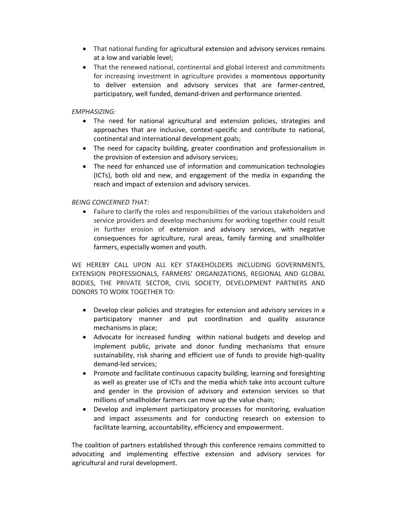- That national funding for agricultural extension and advisory services remains at a low and variable level;
- That the renewed national, continental and global interest and commitments for increasing investment in agriculture provides a momentous opportunity to deliver extension and advisory services that are farmer‐centred, participatory, well funded, demand‐driven and performance oriented.

### *EMPHASIZING:*

- The need for national agricultural and extension policies, strategies and approaches that are inclusive, context‐specific and contribute to national, continental and international development goals;
- The need for capacity building, greater coordination and professionalism in the provision of extension and advisory services;
- The need for enhanced use of information and communication technologies (ICTs), both old and new, and engagement of the media in expanding the reach and impact of extension and advisory services.

## *BEING CONCERNED THAT:*

• Failure to clarify the roles and responsibilities of the various stakeholders and service providers and develop mechanisms for working together could result in further erosion of extension and advisory services, with negative consequences for agriculture, rural areas, family farming and smallholder farmers, especially women and youth.

WE HEREBY CALL UPON ALL KEY STAKEHOLDERS INCLUDING GOVERNMENTS, EXTENSION PROFESSIONALS, FARMERS' ORGANIZATIONS, REGIONAL AND GLOBAL BODIES, THE PRIVATE SECTOR, CIVIL SOCIETY, DEVELOPMENT PARTNERS AND DONORS TO WORK TOGETHER TO:

- Develop clear policies and strategies for extension and advisory services in a participatory manner and put coordination and quality assurance mechanisms in place;
- Advocate for increased funding within national budgets and develop and implement public, private and donor funding mechanisms that ensure sustainability, risk sharing and efficient use of funds to provide high‐quality demand‐led services;
- Promote and facilitate continuous capacity building, learning and foresighting as well as greater use of ICTs and the media which take into account culture and gender in the provision of advisory and extension services so that millions of smallholder farmers can move up the value chain;
- Develop and implement participatory processes for monitoring, evaluation and impact assessments and for conducting research on extension to facilitate learning, accountability, efficiency and empowerment.

The coalition of partners established through this conference remains committed to advocating and implementing effective extension and advisory services for agricultural and rural development.